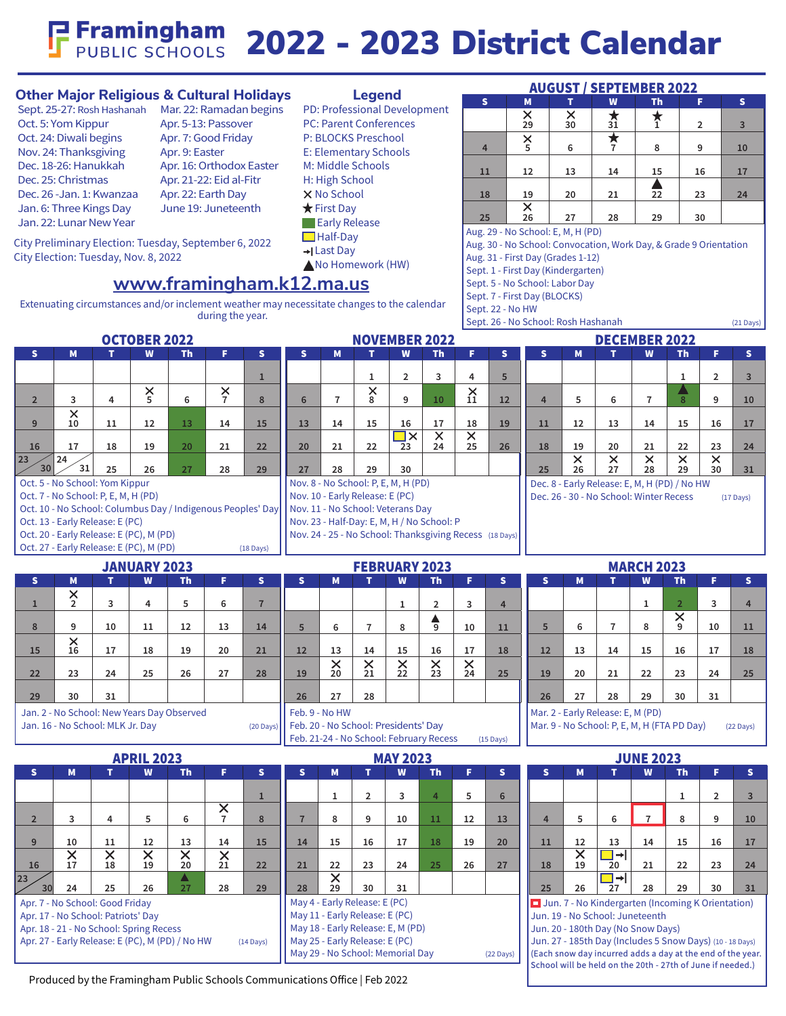### **P Framingham** 2022 - 2023 District Calendar

#### **Other Major Religious & Cultural Holidays**

Sept. 25-27: Rosh Hashanah Mar. 22: Ramadan begins Oct. 5: Yom Kippur Oct. 24: Diwali begins Nov. 24: Thanksgiving Dec. 18-26: Hanukkah Dec. 25: Christmas Dec. 26 -Jan. 1: Kwanzaa Jan. 6: Three Kings Day Jan. 22: Lunar New Year

Apr. 5-13: Passover Apr. 7: Good Friday Apr. 9: Easter Apr. 16: Orthodox Easter Apr. 21-22: Eid al-Fitr Apr. 22: Earth Day June 19: Juneteenth

Extenuating circumstances and/or inclement weather may necessitate changes to the calendar during the year.

**www.framingham.k12.ma.us**

City Preliminary Election: Tuesday, September 6, 2022 City Election: Tuesday, Nov. 8, 2022

#### **Legend**

PD: Professional Development PC: Parent Conferences P: BLOCKS Preschool E: Elementary Schools M: Middle Schools H: High School **X** No School  $\bigstar$  First Day **Early Release □**Half-Day Last Day No Homework (HW)

| AUGUST / SEPTEMBER 2022 |                     |         |                |                      |                |                |  |  |  |
|-------------------------|---------------------|---------|----------------|----------------------|----------------|----------------|--|--|--|
| $\mathbf{s}$            | M                   |         | W              | <b>Th</b>            | F              | s              |  |  |  |
|                         | $\frac{\times}{29}$ | ×<br>30 | $\frac{1}{31}$ | $\overline{1}$       | $\overline{2}$ | $\overline{3}$ |  |  |  |
| 4                       | $\times$            | 6       |                | 8                    | 9              | 10             |  |  |  |
| 11                      | 12                  | 13      | 14             | 15                   | 16             | 17             |  |  |  |
| 18                      | 19                  | 20      | 21             | ▲<br>$\overline{22}$ | 23             | 24             |  |  |  |
| 25                      | $\frac{\times}{26}$ | 27      | 28             | 29                   | 30             |                |  |  |  |

AUGUST / SEPTEMBER 2022

Aug. 29 - No School: E, M, H (PD)

Aug. 30 - No School: Convocation, Work Day, & Grade 9 Orientation

School will be held on the 20th - 27th of June if needed.)

- Aug. 31 First Day (Grades 1-12)
- Sept. 1 First Day (Kindergarten)

Sept. 5 - No School: Labor Day

Sept. 7 - First Day (BLOCKS)

Sept. 22 - No HW

Sept. 26 - No School: Rosh Hashanah (21 Days)

| $\overline{\mathbf{s}}$<br>Š.<br>F.<br>$\overline{\mathbf{s}}$<br>s.<br>M<br>s.<br>M<br>F.<br>$\mathbf{s}$<br>M<br>F.<br>W<br>Th<br>W<br>Th<br><b>Th</b><br>$\overline{4}$<br>5 <sup>5</sup><br>$\overline{2}$<br>3<br>$\overline{2}$<br>$\overline{3}$<br>$\mathbf{1}$<br>$\mathbf{1}$<br>$\mathbf{1}$<br>$_{8}^{\times}$<br>$\frac{\times}{11}$<br>$\times$<br>5<br>$\times$<br>7<br>6<br>9<br>8<br>$\overline{7}$<br>10<br>12<br>5<br>6<br>$\overline{7}$<br>9<br>$\overline{2}$<br>3<br>4<br>6<br>4<br>8<br>10<br>$\times$<br>18<br>9<br>10<br>12<br>13<br>14<br>15<br>13<br>14<br>15<br>16<br>17<br>19<br>15<br>16<br>17<br>11<br>11<br>12<br>13<br>14<br>$\overline{\Box}$<br>$\overline{\mathsf{x}}$<br>$\overline{\mathsf{x}}$<br>25<br>22<br>22<br>$\overline{2}3$<br>24<br>26<br>18<br>20<br>22<br>23<br>17<br>18<br>19<br>20<br>21<br>20<br>21<br>19<br>21<br>24<br>16<br>$\overline{\mathsf{x}}$<br>$\overline{\mathsf{x}}$<br>$\overline{\mathsf{x}}$<br>$\overline{\mathsf{x}}$<br>24<br>$\times$<br>23<br>30<br>31<br>29<br>25<br>26<br>27<br>29<br>27<br>28<br>29<br>30<br>25<br>26<br>27<br>30<br>28<br>28<br>31<br>Oct. 5 - No School: Yom Kippur<br>Nov. 8 - No School: P, E, M, H (PD)<br>Dec. 8 - Early Release: E, M, H (PD) / No HW<br>Oct. 7 - No School: P, E, M, H (PD)<br>Nov. 10 - Early Release: E (PC)<br>Dec. 26 - 30 - No School: Winter Recess<br>$(17 \text{ Days})$<br>Nov. 11 - No School: Veterans Day<br>Oct. 10 - No School: Columbus Day / Indigenous Peoples' Day<br>Oct. 13 - Early Release: E (PC)<br>Nov. 23 - Half-Day: E, M, H / No School: P<br>Oct. 20 - Early Release: E (PC), M (PD)<br>Nov. 24 - 25 - No School: Thanksgiving Recess (18 Days)<br>Oct. 27 - Early Release: E (PC), M (PD)<br>$(18 \text{ Days})$<br><b>MARCH 2023</b><br><b>JANUARY 2023</b><br><b>FEBRUARY 2023</b><br>S.<br>M<br>$\mathbf{T}$<br>W<br>Th.<br>F.<br>$\mathbf{s}$<br>W<br>$\mathbf{s}$<br>W<br><b>Th</b><br>F.<br>$\mathbf{s}$<br>s<br>M<br>T.<br><b>Th</b><br>F.<br>s.<br>M<br>т<br>$\times$<br>$\overline{2}$<br>5<br>$\overline{3}$<br>3<br>4<br>6<br>$\overline{7}$<br>$\overline{2}$<br>3<br>$\overline{2}$<br>$\mathbf{1}$<br>$\mathbf{1}$<br>$\overline{4}$<br>$\mathbf{1}$<br>$\overline{4}$<br>$\times$<br>$\frac{4}{9}$<br>6<br>8<br>5<br>$\overline{7}$<br>8<br>5 <sup>5</sup><br>6<br>$\overline{7}$<br>8<br>9<br>10<br>9<br>10<br>11<br>12<br>13<br>14<br>10<br>11<br>11<br>$_{16}^{\times}$<br>20<br>15<br>17<br>15<br>17<br>18<br>19<br>21<br>12<br>16<br>17<br>18<br>12<br>13<br>14<br>15<br>16<br>13<br>14<br>18<br>$\frac{\mathsf{X}}{20}$<br>$\frac{\times}{21}$<br>$\frac{\times}{22}$<br>$\frac{\mathsf{X}}{23}$<br>$\frac{\mathsf{X}}{24}$<br>23<br>24<br>25<br>27<br>19<br>25<br>19<br>22<br>23<br>24<br>22<br>26<br>28<br>20<br>21<br>25<br>29<br>30<br>31<br>27<br>28<br>26<br>27<br>28<br>29<br>30<br>31<br>26<br>Jan. 2 - No School: New Years Day Observed<br>Feb. 9 - No HW<br>Mar. 2 - Early Release: E, M (PD)<br>Feb. 20 - No School: Presidents' Day<br>Mar. 9 - No School: P, E, M, H (FTA PD Day)<br>Jan. 16 - No School: MLK Jr. Day<br>$(20 \text{ Days})$<br>$(22 \text{ Days})$<br>Feb. 21-24 - No School: February Recess<br>$(15 \text{ Days})$<br><b>JUNE 2023</b><br><b>APRIL 2023</b><br><b>MAY 2023</b><br>M<br>M<br>F.<br>W<br><b>Th</b><br>F.<br>s<br>M<br>W<br><b>Th</b><br>F.<br>s<br>s<br>W<br><b>Th</b><br>$\mathbf{s}$<br>s.<br>T.<br>$\mathbf{s}$<br>T.<br>т<br>5<br>$\overline{2}$<br>$\mathbf 1$<br>$\overline{2}$<br>3<br>$\overline{4}$<br>6<br>1<br>1<br>$\overline{3}$<br>$\overline{\mathsf{x}}$<br>5<br>$\overline{7}$<br>$\overline{7}$<br>$\overline{3}$<br>$\overline{\mathbf{4}}$<br>6<br>8<br>8<br>9<br>10<br>11<br>13<br>5<br>6<br>8<br>9<br>2 <sup>2</sup><br>$\overline{7}$<br>12<br>$\overline{4}$<br>10<br>14<br>15<br>15<br>16<br>17<br>18<br>19<br>15<br>16<br>9<br>10<br>11<br>12<br>13<br>14<br>20<br>11<br>12<br>13<br>14<br>17<br>$\overline{\mathsf{x}}$<br>$\overline{\textsf{x}}$<br>$\overline{\mathsf{x}}$<br>$\Box$<br>$\times$<br>$\times$<br>$\times$<br>18<br>20<br>21<br>23<br>16<br>17<br>19<br>22<br>22<br>23<br>24<br>25<br>26<br>27<br>18<br>19<br>21<br>22<br>21<br>24<br>20<br>$\overline{\mathsf{x}}$<br>$\Box$ $\rightarrow$ $\Box$<br>A<br>23<br>29<br>30<br>26<br>27<br>28<br>28<br>25<br>29<br>28<br>30<br>31<br>25<br>26<br>27<br>29<br>30<br>24<br>31<br>May 4 - Early Release: E (PC)<br>Apr. 7 - No School: Good Friday<br>Jun. 7 - No Kindergarten (Incoming K Orientation)<br>May 11 - Early Release: E (PC)<br>Apr. 17 - No School: Patriots' Day<br>Jun. 19 - No School: Juneteenth<br>May 18 - Early Release: E, M (PD)<br>Apr. 18 - 21 - No School: Spring Recess<br>Jun. 20 - 180th Day (No Snow Days)<br>May 25 - Early Release: E (PC)<br>Jun. 27 - 185th Day (Includes 5 Snow Days) (10 - 18 Days)<br>Apr. 27 - Early Release: E (PC), M (PD) / No HW<br>$(14 \text{ Days})$<br>May 29 - No School: Memorial Day<br>(Each snow day incurred adds a day at the end of the year. | <b>OCTOBER 2022</b> |  |  |  |  |  | <b>NOVEMBER 2022</b> |  |  |                     |  |  | <b>DECEMBER 2022</b> |  |  |  |  |  |  |  |  |
|-----------------------------------------------------------------------------------------------------------------------------------------------------------------------------------------------------------------------------------------------------------------------------------------------------------------------------------------------------------------------------------------------------------------------------------------------------------------------------------------------------------------------------------------------------------------------------------------------------------------------------------------------------------------------------------------------------------------------------------------------------------------------------------------------------------------------------------------------------------------------------------------------------------------------------------------------------------------------------------------------------------------------------------------------------------------------------------------------------------------------------------------------------------------------------------------------------------------------------------------------------------------------------------------------------------------------------------------------------------------------------------------------------------------------------------------------------------------------------------------------------------------------------------------------------------------------------------------------------------------------------------------------------------------------------------------------------------------------------------------------------------------------------------------------------------------------------------------------------------------------------------------------------------------------------------------------------------------------------------------------------------------------------------------------------------------------------------------------------------------------------------------------------------------------------------------------------------------------------------------------------------------------------------------------------------------------------------------------------------------------------------------------------------------------------------------------------------------------------------------------------------------------------------------------------------------------------------------------------------------------------------------------------------------------------------------------------------------------------------------------------------------------------------------------------------------------------------------------------------------------------------------------------------------------------------------------------------------------------------------------------------------------------------------------------------------------------------------------------------------------------------------------------------------------------------------------------------------------------------------------------------------------------------------------------------------------------------------------------------------------------------------------------------------------------------------------------------------------------------------------------------------------------------------------------------------------------------------------------------------------------------------------------------------------------------------------------------------------------------------------------------------------------------------------------------------------------------------------------------------------------------------------------------------------------------------------------------------------------------------------------------------------------------------------------------------------------------------------------------------------------------------------------------------------------------------------------------------------------------------------------------------------------------------------------------------------------------------------------------------------------------------------------------------------------------------------------------------------------------------------------------------------------------------------------------------------------------------------------------------------------------------------------------------------------------------------------------------------------------------------------------------------------------------------------------------------------------------------------------------------------------------------------------------------------------------------------------------------------------------------------------------------------------|---------------------|--|--|--|--|--|----------------------|--|--|---------------------|--|--|----------------------|--|--|--|--|--|--|--|--|
|                                                                                                                                                                                                                                                                                                                                                                                                                                                                                                                                                                                                                                                                                                                                                                                                                                                                                                                                                                                                                                                                                                                                                                                                                                                                                                                                                                                                                                                                                                                                                                                                                                                                                                                                                                                                                                                                                                                                                                                                                                                                                                                                                                                                                                                                                                                                                                                                                                                                                                                                                                                                                                                                                                                                                                                                                                                                                                                                                                                                                                                                                                                                                                                                                                                                                                                                                                                                                                                                                                                                                                                                                                                                                                                                                                                                                                                                                                                                                                                                                                                                                                                                                                                                                                                                                                                                                                                                                                                                                                                                                                                                                                                                                                                                                                                                                                                                                                                                                                                                                                   |                     |  |  |  |  |  |                      |  |  |                     |  |  |                      |  |  |  |  |  |  |  |  |
|                                                                                                                                                                                                                                                                                                                                                                                                                                                                                                                                                                                                                                                                                                                                                                                                                                                                                                                                                                                                                                                                                                                                                                                                                                                                                                                                                                                                                                                                                                                                                                                                                                                                                                                                                                                                                                                                                                                                                                                                                                                                                                                                                                                                                                                                                                                                                                                                                                                                                                                                                                                                                                                                                                                                                                                                                                                                                                                                                                                                                                                                                                                                                                                                                                                                                                                                                                                                                                                                                                                                                                                                                                                                                                                                                                                                                                                                                                                                                                                                                                                                                                                                                                                                                                                                                                                                                                                                                                                                                                                                                                                                                                                                                                                                                                                                                                                                                                                                                                                                                                   |                     |  |  |  |  |  |                      |  |  |                     |  |  |                      |  |  |  |  |  |  |  |  |
|                                                                                                                                                                                                                                                                                                                                                                                                                                                                                                                                                                                                                                                                                                                                                                                                                                                                                                                                                                                                                                                                                                                                                                                                                                                                                                                                                                                                                                                                                                                                                                                                                                                                                                                                                                                                                                                                                                                                                                                                                                                                                                                                                                                                                                                                                                                                                                                                                                                                                                                                                                                                                                                                                                                                                                                                                                                                                                                                                                                                                                                                                                                                                                                                                                                                                                                                                                                                                                                                                                                                                                                                                                                                                                                                                                                                                                                                                                                                                                                                                                                                                                                                                                                                                                                                                                                                                                                                                                                                                                                                                                                                                                                                                                                                                                                                                                                                                                                                                                                                                                   |                     |  |  |  |  |  |                      |  |  |                     |  |  |                      |  |  |  |  |  |  |  |  |
|                                                                                                                                                                                                                                                                                                                                                                                                                                                                                                                                                                                                                                                                                                                                                                                                                                                                                                                                                                                                                                                                                                                                                                                                                                                                                                                                                                                                                                                                                                                                                                                                                                                                                                                                                                                                                                                                                                                                                                                                                                                                                                                                                                                                                                                                                                                                                                                                                                                                                                                                                                                                                                                                                                                                                                                                                                                                                                                                                                                                                                                                                                                                                                                                                                                                                                                                                                                                                                                                                                                                                                                                                                                                                                                                                                                                                                                                                                                                                                                                                                                                                                                                                                                                                                                                                                                                                                                                                                                                                                                                                                                                                                                                                                                                                                                                                                                                                                                                                                                                                                   |                     |  |  |  |  |  |                      |  |  |                     |  |  |                      |  |  |  |  |  |  |  |  |
|                                                                                                                                                                                                                                                                                                                                                                                                                                                                                                                                                                                                                                                                                                                                                                                                                                                                                                                                                                                                                                                                                                                                                                                                                                                                                                                                                                                                                                                                                                                                                                                                                                                                                                                                                                                                                                                                                                                                                                                                                                                                                                                                                                                                                                                                                                                                                                                                                                                                                                                                                                                                                                                                                                                                                                                                                                                                                                                                                                                                                                                                                                                                                                                                                                                                                                                                                                                                                                                                                                                                                                                                                                                                                                                                                                                                                                                                                                                                                                                                                                                                                                                                                                                                                                                                                                                                                                                                                                                                                                                                                                                                                                                                                                                                                                                                                                                                                                                                                                                                                                   |                     |  |  |  |  |  |                      |  |  |                     |  |  |                      |  |  |  |  |  |  |  |  |
|                                                                                                                                                                                                                                                                                                                                                                                                                                                                                                                                                                                                                                                                                                                                                                                                                                                                                                                                                                                                                                                                                                                                                                                                                                                                                                                                                                                                                                                                                                                                                                                                                                                                                                                                                                                                                                                                                                                                                                                                                                                                                                                                                                                                                                                                                                                                                                                                                                                                                                                                                                                                                                                                                                                                                                                                                                                                                                                                                                                                                                                                                                                                                                                                                                                                                                                                                                                                                                                                                                                                                                                                                                                                                                                                                                                                                                                                                                                                                                                                                                                                                                                                                                                                                                                                                                                                                                                                                                                                                                                                                                                                                                                                                                                                                                                                                                                                                                                                                                                                                                   |                     |  |  |  |  |  |                      |  |  |                     |  |  |                      |  |  |  |  |  |  |  |  |
|                                                                                                                                                                                                                                                                                                                                                                                                                                                                                                                                                                                                                                                                                                                                                                                                                                                                                                                                                                                                                                                                                                                                                                                                                                                                                                                                                                                                                                                                                                                                                                                                                                                                                                                                                                                                                                                                                                                                                                                                                                                                                                                                                                                                                                                                                                                                                                                                                                                                                                                                                                                                                                                                                                                                                                                                                                                                                                                                                                                                                                                                                                                                                                                                                                                                                                                                                                                                                                                                                                                                                                                                                                                                                                                                                                                                                                                                                                                                                                                                                                                                                                                                                                                                                                                                                                                                                                                                                                                                                                                                                                                                                                                                                                                                                                                                                                                                                                                                                                                                                                   |                     |  |  |  |  |  |                      |  |  |                     |  |  |                      |  |  |  |  |  |  |  |  |
|                                                                                                                                                                                                                                                                                                                                                                                                                                                                                                                                                                                                                                                                                                                                                                                                                                                                                                                                                                                                                                                                                                                                                                                                                                                                                                                                                                                                                                                                                                                                                                                                                                                                                                                                                                                                                                                                                                                                                                                                                                                                                                                                                                                                                                                                                                                                                                                                                                                                                                                                                                                                                                                                                                                                                                                                                                                                                                                                                                                                                                                                                                                                                                                                                                                                                                                                                                                                                                                                                                                                                                                                                                                                                                                                                                                                                                                                                                                                                                                                                                                                                                                                                                                                                                                                                                                                                                                                                                                                                                                                                                                                                                                                                                                                                                                                                                                                                                                                                                                                                                   |                     |  |  |  |  |  |                      |  |  |                     |  |  |                      |  |  |  |  |  |  |  |  |
|                                                                                                                                                                                                                                                                                                                                                                                                                                                                                                                                                                                                                                                                                                                                                                                                                                                                                                                                                                                                                                                                                                                                                                                                                                                                                                                                                                                                                                                                                                                                                                                                                                                                                                                                                                                                                                                                                                                                                                                                                                                                                                                                                                                                                                                                                                                                                                                                                                                                                                                                                                                                                                                                                                                                                                                                                                                                                                                                                                                                                                                                                                                                                                                                                                                                                                                                                                                                                                                                                                                                                                                                                                                                                                                                                                                                                                                                                                                                                                                                                                                                                                                                                                                                                                                                                                                                                                                                                                                                                                                                                                                                                                                                                                                                                                                                                                                                                                                                                                                                                                   |                     |  |  |  |  |  |                      |  |  |                     |  |  |                      |  |  |  |  |  |  |  |  |
|                                                                                                                                                                                                                                                                                                                                                                                                                                                                                                                                                                                                                                                                                                                                                                                                                                                                                                                                                                                                                                                                                                                                                                                                                                                                                                                                                                                                                                                                                                                                                                                                                                                                                                                                                                                                                                                                                                                                                                                                                                                                                                                                                                                                                                                                                                                                                                                                                                                                                                                                                                                                                                                                                                                                                                                                                                                                                                                                                                                                                                                                                                                                                                                                                                                                                                                                                                                                                                                                                                                                                                                                                                                                                                                                                                                                                                                                                                                                                                                                                                                                                                                                                                                                                                                                                                                                                                                                                                                                                                                                                                                                                                                                                                                                                                                                                                                                                                                                                                                                                                   |                     |  |  |  |  |  |                      |  |  |                     |  |  |                      |  |  |  |  |  |  |  |  |
|                                                                                                                                                                                                                                                                                                                                                                                                                                                                                                                                                                                                                                                                                                                                                                                                                                                                                                                                                                                                                                                                                                                                                                                                                                                                                                                                                                                                                                                                                                                                                                                                                                                                                                                                                                                                                                                                                                                                                                                                                                                                                                                                                                                                                                                                                                                                                                                                                                                                                                                                                                                                                                                                                                                                                                                                                                                                                                                                                                                                                                                                                                                                                                                                                                                                                                                                                                                                                                                                                                                                                                                                                                                                                                                                                                                                                                                                                                                                                                                                                                                                                                                                                                                                                                                                                                                                                                                                                                                                                                                                                                                                                                                                                                                                                                                                                                                                                                                                                                                                                                   |                     |  |  |  |  |  |                      |  |  |                     |  |  |                      |  |  |  |  |  |  |  |  |
|                                                                                                                                                                                                                                                                                                                                                                                                                                                                                                                                                                                                                                                                                                                                                                                                                                                                                                                                                                                                                                                                                                                                                                                                                                                                                                                                                                                                                                                                                                                                                                                                                                                                                                                                                                                                                                                                                                                                                                                                                                                                                                                                                                                                                                                                                                                                                                                                                                                                                                                                                                                                                                                                                                                                                                                                                                                                                                                                                                                                                                                                                                                                                                                                                                                                                                                                                                                                                                                                                                                                                                                                                                                                                                                                                                                                                                                                                                                                                                                                                                                                                                                                                                                                                                                                                                                                                                                                                                                                                                                                                                                                                                                                                                                                                                                                                                                                                                                                                                                                                                   |                     |  |  |  |  |  |                      |  |  |                     |  |  |                      |  |  |  |  |  |  |  |  |
|                                                                                                                                                                                                                                                                                                                                                                                                                                                                                                                                                                                                                                                                                                                                                                                                                                                                                                                                                                                                                                                                                                                                                                                                                                                                                                                                                                                                                                                                                                                                                                                                                                                                                                                                                                                                                                                                                                                                                                                                                                                                                                                                                                                                                                                                                                                                                                                                                                                                                                                                                                                                                                                                                                                                                                                                                                                                                                                                                                                                                                                                                                                                                                                                                                                                                                                                                                                                                                                                                                                                                                                                                                                                                                                                                                                                                                                                                                                                                                                                                                                                                                                                                                                                                                                                                                                                                                                                                                                                                                                                                                                                                                                                                                                                                                                                                                                                                                                                                                                                                                   |                     |  |  |  |  |  |                      |  |  |                     |  |  |                      |  |  |  |  |  |  |  |  |
|                                                                                                                                                                                                                                                                                                                                                                                                                                                                                                                                                                                                                                                                                                                                                                                                                                                                                                                                                                                                                                                                                                                                                                                                                                                                                                                                                                                                                                                                                                                                                                                                                                                                                                                                                                                                                                                                                                                                                                                                                                                                                                                                                                                                                                                                                                                                                                                                                                                                                                                                                                                                                                                                                                                                                                                                                                                                                                                                                                                                                                                                                                                                                                                                                                                                                                                                                                                                                                                                                                                                                                                                                                                                                                                                                                                                                                                                                                                                                                                                                                                                                                                                                                                                                                                                                                                                                                                                                                                                                                                                                                                                                                                                                                                                                                                                                                                                                                                                                                                                                                   |                     |  |  |  |  |  |                      |  |  |                     |  |  |                      |  |  |  |  |  |  |  |  |
|                                                                                                                                                                                                                                                                                                                                                                                                                                                                                                                                                                                                                                                                                                                                                                                                                                                                                                                                                                                                                                                                                                                                                                                                                                                                                                                                                                                                                                                                                                                                                                                                                                                                                                                                                                                                                                                                                                                                                                                                                                                                                                                                                                                                                                                                                                                                                                                                                                                                                                                                                                                                                                                                                                                                                                                                                                                                                                                                                                                                                                                                                                                                                                                                                                                                                                                                                                                                                                                                                                                                                                                                                                                                                                                                                                                                                                                                                                                                                                                                                                                                                                                                                                                                                                                                                                                                                                                                                                                                                                                                                                                                                                                                                                                                                                                                                                                                                                                                                                                                                                   |                     |  |  |  |  |  |                      |  |  |                     |  |  |                      |  |  |  |  |  |  |  |  |
|                                                                                                                                                                                                                                                                                                                                                                                                                                                                                                                                                                                                                                                                                                                                                                                                                                                                                                                                                                                                                                                                                                                                                                                                                                                                                                                                                                                                                                                                                                                                                                                                                                                                                                                                                                                                                                                                                                                                                                                                                                                                                                                                                                                                                                                                                                                                                                                                                                                                                                                                                                                                                                                                                                                                                                                                                                                                                                                                                                                                                                                                                                                                                                                                                                                                                                                                                                                                                                                                                                                                                                                                                                                                                                                                                                                                                                                                                                                                                                                                                                                                                                                                                                                                                                                                                                                                                                                                                                                                                                                                                                                                                                                                                                                                                                                                                                                                                                                                                                                                                                   |                     |  |  |  |  |  |                      |  |  |                     |  |  |                      |  |  |  |  |  |  |  |  |
|                                                                                                                                                                                                                                                                                                                                                                                                                                                                                                                                                                                                                                                                                                                                                                                                                                                                                                                                                                                                                                                                                                                                                                                                                                                                                                                                                                                                                                                                                                                                                                                                                                                                                                                                                                                                                                                                                                                                                                                                                                                                                                                                                                                                                                                                                                                                                                                                                                                                                                                                                                                                                                                                                                                                                                                                                                                                                                                                                                                                                                                                                                                                                                                                                                                                                                                                                                                                                                                                                                                                                                                                                                                                                                                                                                                                                                                                                                                                                                                                                                                                                                                                                                                                                                                                                                                                                                                                                                                                                                                                                                                                                                                                                                                                                                                                                                                                                                                                                                                                                                   |                     |  |  |  |  |  |                      |  |  |                     |  |  |                      |  |  |  |  |  |  |  |  |
|                                                                                                                                                                                                                                                                                                                                                                                                                                                                                                                                                                                                                                                                                                                                                                                                                                                                                                                                                                                                                                                                                                                                                                                                                                                                                                                                                                                                                                                                                                                                                                                                                                                                                                                                                                                                                                                                                                                                                                                                                                                                                                                                                                                                                                                                                                                                                                                                                                                                                                                                                                                                                                                                                                                                                                                                                                                                                                                                                                                                                                                                                                                                                                                                                                                                                                                                                                                                                                                                                                                                                                                                                                                                                                                                                                                                                                                                                                                                                                                                                                                                                                                                                                                                                                                                                                                                                                                                                                                                                                                                                                                                                                                                                                                                                                                                                                                                                                                                                                                                                                   |                     |  |  |  |  |  |                      |  |  |                     |  |  |                      |  |  |  |  |  |  |  |  |
|                                                                                                                                                                                                                                                                                                                                                                                                                                                                                                                                                                                                                                                                                                                                                                                                                                                                                                                                                                                                                                                                                                                                                                                                                                                                                                                                                                                                                                                                                                                                                                                                                                                                                                                                                                                                                                                                                                                                                                                                                                                                                                                                                                                                                                                                                                                                                                                                                                                                                                                                                                                                                                                                                                                                                                                                                                                                                                                                                                                                                                                                                                                                                                                                                                                                                                                                                                                                                                                                                                                                                                                                                                                                                                                                                                                                                                                                                                                                                                                                                                                                                                                                                                                                                                                                                                                                                                                                                                                                                                                                                                                                                                                                                                                                                                                                                                                                                                                                                                                                                                   |                     |  |  |  |  |  |                      |  |  |                     |  |  |                      |  |  |  |  |  |  |  |  |
|                                                                                                                                                                                                                                                                                                                                                                                                                                                                                                                                                                                                                                                                                                                                                                                                                                                                                                                                                                                                                                                                                                                                                                                                                                                                                                                                                                                                                                                                                                                                                                                                                                                                                                                                                                                                                                                                                                                                                                                                                                                                                                                                                                                                                                                                                                                                                                                                                                                                                                                                                                                                                                                                                                                                                                                                                                                                                                                                                                                                                                                                                                                                                                                                                                                                                                                                                                                                                                                                                                                                                                                                                                                                                                                                                                                                                                                                                                                                                                                                                                                                                                                                                                                                                                                                                                                                                                                                                                                                                                                                                                                                                                                                                                                                                                                                                                                                                                                                                                                                                                   |                     |  |  |  |  |  |                      |  |  |                     |  |  |                      |  |  |  |  |  |  |  |  |
|                                                                                                                                                                                                                                                                                                                                                                                                                                                                                                                                                                                                                                                                                                                                                                                                                                                                                                                                                                                                                                                                                                                                                                                                                                                                                                                                                                                                                                                                                                                                                                                                                                                                                                                                                                                                                                                                                                                                                                                                                                                                                                                                                                                                                                                                                                                                                                                                                                                                                                                                                                                                                                                                                                                                                                                                                                                                                                                                                                                                                                                                                                                                                                                                                                                                                                                                                                                                                                                                                                                                                                                                                                                                                                                                                                                                                                                                                                                                                                                                                                                                                                                                                                                                                                                                                                                                                                                                                                                                                                                                                                                                                                                                                                                                                                                                                                                                                                                                                                                                                                   |                     |  |  |  |  |  |                      |  |  |                     |  |  |                      |  |  |  |  |  |  |  |  |
|                                                                                                                                                                                                                                                                                                                                                                                                                                                                                                                                                                                                                                                                                                                                                                                                                                                                                                                                                                                                                                                                                                                                                                                                                                                                                                                                                                                                                                                                                                                                                                                                                                                                                                                                                                                                                                                                                                                                                                                                                                                                                                                                                                                                                                                                                                                                                                                                                                                                                                                                                                                                                                                                                                                                                                                                                                                                                                                                                                                                                                                                                                                                                                                                                                                                                                                                                                                                                                                                                                                                                                                                                                                                                                                                                                                                                                                                                                                                                                                                                                                                                                                                                                                                                                                                                                                                                                                                                                                                                                                                                                                                                                                                                                                                                                                                                                                                                                                                                                                                                                   |                     |  |  |  |  |  |                      |  |  |                     |  |  |                      |  |  |  |  |  |  |  |  |
|                                                                                                                                                                                                                                                                                                                                                                                                                                                                                                                                                                                                                                                                                                                                                                                                                                                                                                                                                                                                                                                                                                                                                                                                                                                                                                                                                                                                                                                                                                                                                                                                                                                                                                                                                                                                                                                                                                                                                                                                                                                                                                                                                                                                                                                                                                                                                                                                                                                                                                                                                                                                                                                                                                                                                                                                                                                                                                                                                                                                                                                                                                                                                                                                                                                                                                                                                                                                                                                                                                                                                                                                                                                                                                                                                                                                                                                                                                                                                                                                                                                                                                                                                                                                                                                                                                                                                                                                                                                                                                                                                                                                                                                                                                                                                                                                                                                                                                                                                                                                                                   |                     |  |  |  |  |  |                      |  |  |                     |  |  |                      |  |  |  |  |  |  |  |  |
|                                                                                                                                                                                                                                                                                                                                                                                                                                                                                                                                                                                                                                                                                                                                                                                                                                                                                                                                                                                                                                                                                                                                                                                                                                                                                                                                                                                                                                                                                                                                                                                                                                                                                                                                                                                                                                                                                                                                                                                                                                                                                                                                                                                                                                                                                                                                                                                                                                                                                                                                                                                                                                                                                                                                                                                                                                                                                                                                                                                                                                                                                                                                                                                                                                                                                                                                                                                                                                                                                                                                                                                                                                                                                                                                                                                                                                                                                                                                                                                                                                                                                                                                                                                                                                                                                                                                                                                                                                                                                                                                                                                                                                                                                                                                                                                                                                                                                                                                                                                                                                   |                     |  |  |  |  |  |                      |  |  |                     |  |  |                      |  |  |  |  |  |  |  |  |
|                                                                                                                                                                                                                                                                                                                                                                                                                                                                                                                                                                                                                                                                                                                                                                                                                                                                                                                                                                                                                                                                                                                                                                                                                                                                                                                                                                                                                                                                                                                                                                                                                                                                                                                                                                                                                                                                                                                                                                                                                                                                                                                                                                                                                                                                                                                                                                                                                                                                                                                                                                                                                                                                                                                                                                                                                                                                                                                                                                                                                                                                                                                                                                                                                                                                                                                                                                                                                                                                                                                                                                                                                                                                                                                                                                                                                                                                                                                                                                                                                                                                                                                                                                                                                                                                                                                                                                                                                                                                                                                                                                                                                                                                                                                                                                                                                                                                                                                                                                                                                                   |                     |  |  |  |  |  |                      |  |  |                     |  |  |                      |  |  |  |  |  |  |  |  |
|                                                                                                                                                                                                                                                                                                                                                                                                                                                                                                                                                                                                                                                                                                                                                                                                                                                                                                                                                                                                                                                                                                                                                                                                                                                                                                                                                                                                                                                                                                                                                                                                                                                                                                                                                                                                                                                                                                                                                                                                                                                                                                                                                                                                                                                                                                                                                                                                                                                                                                                                                                                                                                                                                                                                                                                                                                                                                                                                                                                                                                                                                                                                                                                                                                                                                                                                                                                                                                                                                                                                                                                                                                                                                                                                                                                                                                                                                                                                                                                                                                                                                                                                                                                                                                                                                                                                                                                                                                                                                                                                                                                                                                                                                                                                                                                                                                                                                                                                                                                                                                   |                     |  |  |  |  |  |                      |  |  |                     |  |  |                      |  |  |  |  |  |  |  |  |
|                                                                                                                                                                                                                                                                                                                                                                                                                                                                                                                                                                                                                                                                                                                                                                                                                                                                                                                                                                                                                                                                                                                                                                                                                                                                                                                                                                                                                                                                                                                                                                                                                                                                                                                                                                                                                                                                                                                                                                                                                                                                                                                                                                                                                                                                                                                                                                                                                                                                                                                                                                                                                                                                                                                                                                                                                                                                                                                                                                                                                                                                                                                                                                                                                                                                                                                                                                                                                                                                                                                                                                                                                                                                                                                                                                                                                                                                                                                                                                                                                                                                                                                                                                                                                                                                                                                                                                                                                                                                                                                                                                                                                                                                                                                                                                                                                                                                                                                                                                                                                                   |                     |  |  |  |  |  |                      |  |  |                     |  |  |                      |  |  |  |  |  |  |  |  |
|                                                                                                                                                                                                                                                                                                                                                                                                                                                                                                                                                                                                                                                                                                                                                                                                                                                                                                                                                                                                                                                                                                                                                                                                                                                                                                                                                                                                                                                                                                                                                                                                                                                                                                                                                                                                                                                                                                                                                                                                                                                                                                                                                                                                                                                                                                                                                                                                                                                                                                                                                                                                                                                                                                                                                                                                                                                                                                                                                                                                                                                                                                                                                                                                                                                                                                                                                                                                                                                                                                                                                                                                                                                                                                                                                                                                                                                                                                                                                                                                                                                                                                                                                                                                                                                                                                                                                                                                                                                                                                                                                                                                                                                                                                                                                                                                                                                                                                                                                                                                                                   |                     |  |  |  |  |  |                      |  |  |                     |  |  |                      |  |  |  |  |  |  |  |  |
|                                                                                                                                                                                                                                                                                                                                                                                                                                                                                                                                                                                                                                                                                                                                                                                                                                                                                                                                                                                                                                                                                                                                                                                                                                                                                                                                                                                                                                                                                                                                                                                                                                                                                                                                                                                                                                                                                                                                                                                                                                                                                                                                                                                                                                                                                                                                                                                                                                                                                                                                                                                                                                                                                                                                                                                                                                                                                                                                                                                                                                                                                                                                                                                                                                                                                                                                                                                                                                                                                                                                                                                                                                                                                                                                                                                                                                                                                                                                                                                                                                                                                                                                                                                                                                                                                                                                                                                                                                                                                                                                                                                                                                                                                                                                                                                                                                                                                                                                                                                                                                   |                     |  |  |  |  |  |                      |  |  |                     |  |  |                      |  |  |  |  |  |  |  |  |
|                                                                                                                                                                                                                                                                                                                                                                                                                                                                                                                                                                                                                                                                                                                                                                                                                                                                                                                                                                                                                                                                                                                                                                                                                                                                                                                                                                                                                                                                                                                                                                                                                                                                                                                                                                                                                                                                                                                                                                                                                                                                                                                                                                                                                                                                                                                                                                                                                                                                                                                                                                                                                                                                                                                                                                                                                                                                                                                                                                                                                                                                                                                                                                                                                                                                                                                                                                                                                                                                                                                                                                                                                                                                                                                                                                                                                                                                                                                                                                                                                                                                                                                                                                                                                                                                                                                                                                                                                                                                                                                                                                                                                                                                                                                                                                                                                                                                                                                                                                                                                                   |                     |  |  |  |  |  |                      |  |  |                     |  |  |                      |  |  |  |  |  |  |  |  |
|                                                                                                                                                                                                                                                                                                                                                                                                                                                                                                                                                                                                                                                                                                                                                                                                                                                                                                                                                                                                                                                                                                                                                                                                                                                                                                                                                                                                                                                                                                                                                                                                                                                                                                                                                                                                                                                                                                                                                                                                                                                                                                                                                                                                                                                                                                                                                                                                                                                                                                                                                                                                                                                                                                                                                                                                                                                                                                                                                                                                                                                                                                                                                                                                                                                                                                                                                                                                                                                                                                                                                                                                                                                                                                                                                                                                                                                                                                                                                                                                                                                                                                                                                                                                                                                                                                                                                                                                                                                                                                                                                                                                                                                                                                                                                                                                                                                                                                                                                                                                                                   |                     |  |  |  |  |  |                      |  |  |                     |  |  |                      |  |  |  |  |  |  |  |  |
|                                                                                                                                                                                                                                                                                                                                                                                                                                                                                                                                                                                                                                                                                                                                                                                                                                                                                                                                                                                                                                                                                                                                                                                                                                                                                                                                                                                                                                                                                                                                                                                                                                                                                                                                                                                                                                                                                                                                                                                                                                                                                                                                                                                                                                                                                                                                                                                                                                                                                                                                                                                                                                                                                                                                                                                                                                                                                                                                                                                                                                                                                                                                                                                                                                                                                                                                                                                                                                                                                                                                                                                                                                                                                                                                                                                                                                                                                                                                                                                                                                                                                                                                                                                                                                                                                                                                                                                                                                                                                                                                                                                                                                                                                                                                                                                                                                                                                                                                                                                                                                   |                     |  |  |  |  |  |                      |  |  |                     |  |  |                      |  |  |  |  |  |  |  |  |
|                                                                                                                                                                                                                                                                                                                                                                                                                                                                                                                                                                                                                                                                                                                                                                                                                                                                                                                                                                                                                                                                                                                                                                                                                                                                                                                                                                                                                                                                                                                                                                                                                                                                                                                                                                                                                                                                                                                                                                                                                                                                                                                                                                                                                                                                                                                                                                                                                                                                                                                                                                                                                                                                                                                                                                                                                                                                                                                                                                                                                                                                                                                                                                                                                                                                                                                                                                                                                                                                                                                                                                                                                                                                                                                                                                                                                                                                                                                                                                                                                                                                                                                                                                                                                                                                                                                                                                                                                                                                                                                                                                                                                                                                                                                                                                                                                                                                                                                                                                                                                                   |                     |  |  |  |  |  |                      |  |  |                     |  |  |                      |  |  |  |  |  |  |  |  |
|                                                                                                                                                                                                                                                                                                                                                                                                                                                                                                                                                                                                                                                                                                                                                                                                                                                                                                                                                                                                                                                                                                                                                                                                                                                                                                                                                                                                                                                                                                                                                                                                                                                                                                                                                                                                                                                                                                                                                                                                                                                                                                                                                                                                                                                                                                                                                                                                                                                                                                                                                                                                                                                                                                                                                                                                                                                                                                                                                                                                                                                                                                                                                                                                                                                                                                                                                                                                                                                                                                                                                                                                                                                                                                                                                                                                                                                                                                                                                                                                                                                                                                                                                                                                                                                                                                                                                                                                                                                                                                                                                                                                                                                                                                                                                                                                                                                                                                                                                                                                                                   |                     |  |  |  |  |  |                      |  |  | $(22 \text{ Days})$ |  |  |                      |  |  |  |  |  |  |  |  |

Produced by the Framingham Public Schools Communications Office | Feb 2022